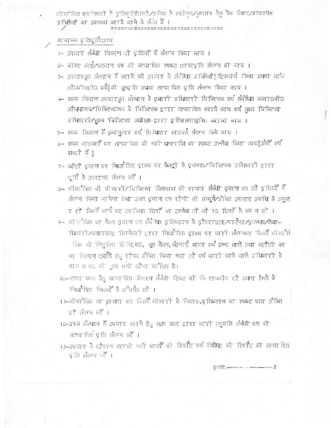बी मा कित टय कियों के प्रतिप्रतिदावों ⁄अभिम के स्वीकृत ⁄भुगतान हेतु येक लिहट ⁄आवश्यक अभिलेखों का उपलब्ध कराये जाने के संबंध में ।

--------------------

## सामान्य प्रतिपूर्तिदावा

- 1- उपचार संबंधी विवरण दो प्रतियों में संलग्न किया जाय ।
- 2- बीमा काई/पहचान पत्र की सत्यापित स्पष्ट छायापति संलग्न की जाय ।
- 3– उपचारकूत संस्थान में कराये गये उपचार से संबंधित अभिलेखोई इस्चार्ज 'स्लिप अथवा जाये औ0पी0होण पर्ये≬को मूलप्ति अथावा सत्या पति प्रति संलग्न किया जाय ।
- 4- व्यय विवरण उपयारकृत संस्थान के प्रभारी अधिकारी चिकित्सक एवं संबंधित कठराठबीठ औष्शालय⁄ चिकित्सालय के चिकित्सक द्वारा सत्या पित कराये जाय एवं मुख्य चिकित्सा अधिकारी/मुख्य 'चिकित्सा अधीक्षक द्वारा प्रतिहस्ताक्षरित कराया जाय।
- 5- व्यय विवरण में क्रमानुसार एवं तिथिवार बाउचर्स संजन किये जाय ।
- 6- व्यय बाउचरों पर सत्या पित की गयी धनरा शि का स्पष्ट उल्लेख किया जाय§अंकों एवं शब्दी में 8
- 7- फोटो प्राण पत्र कार्यां रित प्रारूप पर फैक्ट्री के प्रबन्धक/चिकित्सक अधिकारी द्वारा पूर्ति के उपरान्त संलग्न करें ।
- 8- बीमानेकित की बीमारी/विकित्सा हितलाभ की पात्रता संबंधी प्रमाण पत्र दो प्रतियों में लैनम किया जायेगा तथा उक्त प्रमाण पत्र रोगी की सम्पूर्ण/औकित उपचार अवधि के अनुसा र हो जिसमें कार्य पर उपारिश्वा दिनाें का उल्लेख हो जो 78 दिनाें से कम न हो ।
- 9- बीमांकित का वेतन प्रमाण पत्र संबंधित प्रतिष्ठान के प्रोपराइटर/पार्टनर/प्रबन्धक/लेखा-धिकारी/अथराइज्ड सिग्नेवरी द्वारा निर्धारित प्रारूप पर जारी संलम्कर जितमें बीमार्गेंद कित की नियुक्ति तिथि,पद, मूल वेतन, मंहणाई भूत्ता एवं अन्य भूत्ते तथा कटौली का का विक्रम दश्मति हुए रामय औं कित किया गया हो एवं जारी करने वाले अधिकारी के नाम व पद की भुहर लगी होना वांधित है।
- 10-यात्रा व्यय हैतु सत्या पित विवरण संबंधी दिकट जो कि राजकीय दरे अथवा रेलवे के निर्धारित नियमों के अनिर्गत हो ।
- ।।–बीमानेकित का प्रथमा पत्र जिलमें बीमारी के निवास,प्रतिष्ठान का स्पष्ट पता औकित हो संलग्न करें ।
- 12-उच्च तौस्थान में उपचार कराने हेतु रक्षम स्तर द्वारा जारी अनुमति तंबंधी पत्र की सत्या पित प्रति सलम्म करें ।
- 13-उपयार के दौरान करायी गयी जायों की रिपॉंट एवं विशेषित की रिपॉंट की सत्या पित पति संलम्न करें ।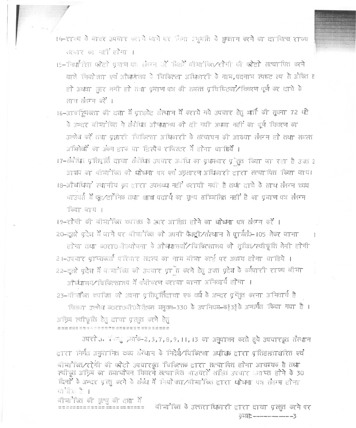14-सच्य के बाहर अचार कराये जाने पर निना अनुमति के भुगतान करने का दाधित्व राज्य तरकार का नहीं होगा ।

- 15-निर्धारित फोटो प्रयाण पक लेगन और जिसमें बीमा किंत/रोगी की फोटो सत्या पित करने वाले नियोजता एवं अधिर्णलय के चिकित्सा अधिकारी के नाम,पदनाम स्पष्ट रूप से अंकित ह हो अथवा महर लगी हो तथा प्रमाण पत्र की समस्त प्रविष्टियां/विवरण पूर्ण कर दावे के ताथ तैलम् करें ।
- 16-आकड्रिकता की दशा में प्राइवेट संस्थान में कराये गये उपचार हेतु भार्ती की सूचना 72 घंटे के अन्दर बीमानेकित ने संबंधित औषधालय को दी गयी अथवा नहीं का पूर्ण विवरण का उल्लेख करें तथा प्रभारी विकित्सा अधिकारी के सत्यापन की आख्या संलग्न हो तथा समस्त अभिलेखों का अंकन डाक था डिस्पैय राजिस्टर में होना चा बियें ।

17-तैंबंधित प्रतिपूर्ति दावा तैबंधित उपचार अपधि का पृथमबार प्रेतुत किया जा रहा है उक्त 3 आश्रम का बीमानेकित को धोषणा पत्र एवं अगलारण अधिकारी द्वारा तत्यापित किया जाय। 18-औषधियां स्थानीय क्यू द्वारा उपलब्ध नहीं करायी गयी है तथा द्वावे के साथ स्लग्न व्यय वाउचत में फूटानेक तथा खाना पितार्थ का मूल्य सम्मिलित नहीं है का प्रमाण पत्र सोजन किया जाय।

19-सोगी की बीमानेंकित व्यक्ति के उपर आख़ित होने का घोषणा पत्र संलम्न करें 1 20–दूसरे प्रदेश में जाने पर बीमानेकित को अपनी फैक्ट्री∕संस्थान से प्रार्मत0–105 लेकर जाना

होगा तथा कारा0ी अपेजना के औष्यालयों/विकित्सालय को सूचित/स्वीकृति लेनी होगी 21-उपयार प्राप्तकर्ता परिवार सदस्य का नाम बीभा कार्ड पर अवश्य होना चाहिये । 22-दूसरे प्रदेश में बामानित को उपचार प्रान्त करने हेतु उक्त प्रदेश के कर्मचारी राज्य बीमा औष्धालय/चिकित्सालय में पंजीकरण कराया जाना अनिवार्य होगा ।

23-बी मांकित व्यक्ति को अपना प्रतिपूर्तिदाया एक वर्ष के अन्दर प्रतित करना अनिवार्य है

जिसका उल्लेख क0रा0बी0येडिकल मनुवल-330 के उपनियम-क838 के अन्तर्गत किया गया है। अग्रिम स्वीकृति हेतु दावा प्रस्तुत करने हेतु 

उपरोक्ति संस्थु अनोक-2, 3, 7, 8, 9, 11, 13 का अनुपालन करते हुये उपचारकृत संस्थान दारा निर्गत अनुमानित ट्यय संस्थान के निर्देश∕ चिकित्सा अधीक्षक द्वारा प्रतिहस्ताक्षरित एवं बीमा कित/रोगी की फोटो उपचारकूत चिकित्सक द्वारा सत्या पित होना आचश्यक है तथा स्वीकृत अग्रिम का समायोजन विवरणे सत्या पित बाउचरों सहित उपचार स्थाप्त होने के 30 दिनों के अन्दर प्रस्तु करने के संबंध में नियो क्ता/बीमा कित द्वारा धोषणा पत्र संलम्ब होना वीति है।

बीमा कित की मूल्यु की दशा में 

बीमा किंत के उत्तरा धिकारी द्वारा दावा प्रस्तुत करने पर